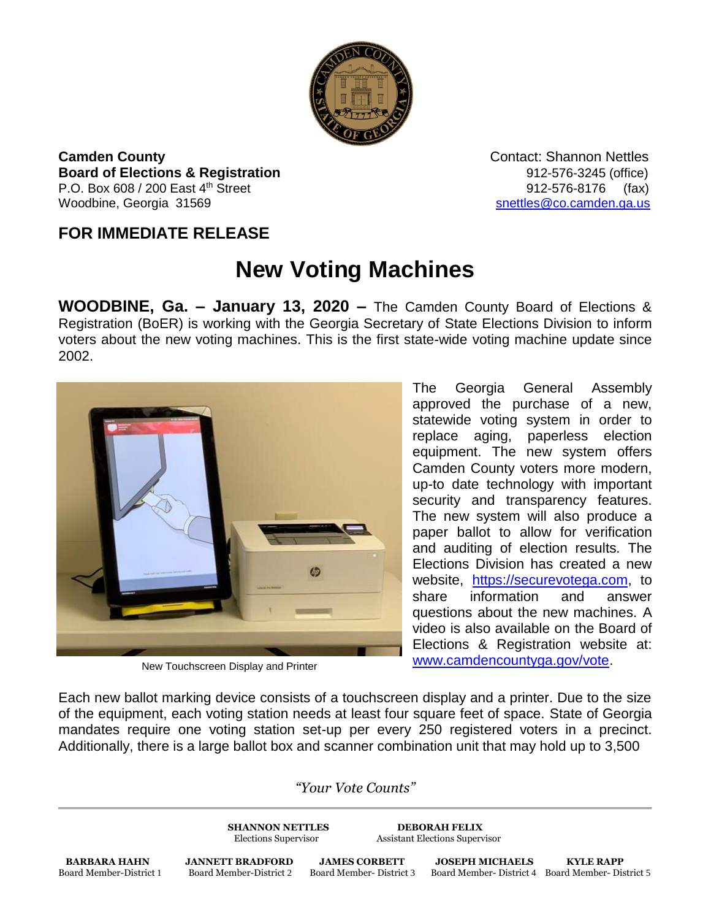

**Camden County Contact: Shannon Nettles Board of Elections & Registration** 8. **Board of Elections & Registration** P.O. Box 608 / 200 East 4<sup>th</sup> Street 912-576-8176 (fax) Woodbine, Georgia 31569 [snettles@co.camden.ga.us](mailto:snettles@co.camden.ga.us)

## **FOR IMMEDIATE RELEASE**

## **New Voting Machines**

**WOODBINE, Ga. – January 13, 2020 –** The Camden County Board of Elections & Registration (BoER) is working with the Georgia Secretary of State Elections Division to inform voters about the new voting machines. This is the first state-wide voting machine update since 2002.



New Touchscreen Display and Printer

The Georgia General Assembly approved the purchase of a new, statewide voting system in order to replace aging, paperless election equipment. The new system offers Camden County voters more modern, up-to date technology with important security and transparency features. The new system will also produce a paper ballot to allow for verification and auditing of election results. The Elections Division has created a new website, [https://securevotega.com,](https://securevotega.com/) to share information and answer questions about the new machines. A video is also available on the Board of Elections & Registration website at: [www.camdencountyga.gov/vote.](http://www.camdencountyga.gov/vote)

Each new ballot marking device consists of a touchscreen display and a printer. Due to the size of the equipment, each voting station needs at least four square feet of space. State of Georgia mandates require one voting station set-up per every 250 registered voters in a precinct. Additionally, there is a large ballot box and scanner combination unit that may hold up to 3,500

*"Your Vote Counts"*

**SHANNON NETTLES DEBORAH FELIX**

Elections Supervisor Assistant Elections Supervisor

**BARBARA HAHN JANNETT BRADFORD JAMES CORBETT JOSEPH MICHAELS KYLE RAPP**<br>Board Member-District 1 Board Member-District 2 Board Member-District 3 Board Member-District 4 Board Member-Dis

Board Member-District 4 Board Member- District 5